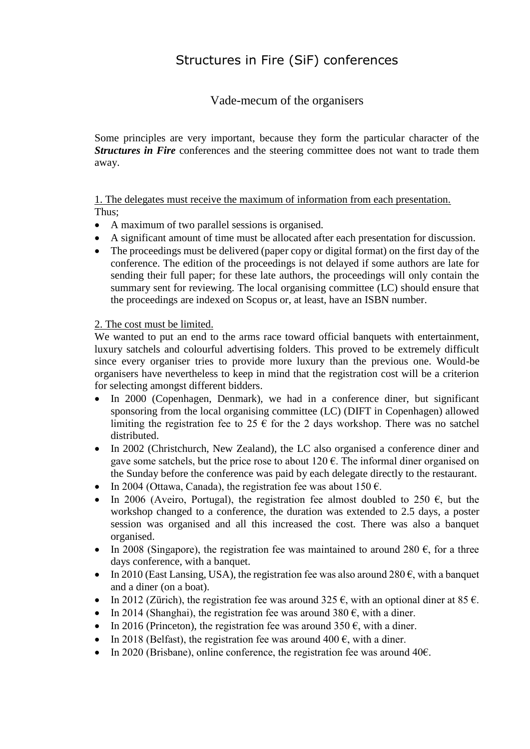# Structures in Fire (SiF) conferences

Vade-mecum of the organisers

Some principles are very important, because they form the particular character of the **Structures in Fire** conferences and the steering committee does not want to trade them away.

1. The delegates must receive the maximum of information from each presentation. Thus;

- A maximum of two parallel sessions is organised.
- A significant amount of time must be allocated after each presentation for discussion.
- The proceedings must be delivered (paper copy or digital format) on the first day of the conference. The edition of the proceedings is not delayed if some authors are late for sending their full paper; for these late authors, the proceedings will only contain the summary sent for reviewing. The local organising committee (LC) should ensure that the proceedings are indexed on Scopus or, at least, have an ISBN number.

2. The cost must be limited.

We wanted to put an end to the arms race toward official banquets with entertainment, luxury satchels and colourful advertising folders. This proved to be extremely difficult since every organiser tries to provide more luxury than the previous one. Would-be organisers have nevertheless to keep in mind that the registration cost will be a criterion for selecting amongst different bidders.

- In 2000 (Copenhagen, Denmark), we had in a conference diner, but significant sponsoring from the local organising committee (LC) (DIFT in Copenhagen) allowed limiting the registration fee to 25  $\epsilon$  for the 2 days workshop. There was no satchel distributed.
- In 2002 (Christchurch, New Zealand), the LC also organised a conference diner and gave some satchels, but the price rose to about  $120 \epsilon$ . The informal diner organised on the Sunday before the conference was paid by each delegate directly to the restaurant.
- In 2004 (Ottawa, Canada), the registration fee was about  $150 \text{ } \epsilon$ .
- In 2006 (Aveiro, Portugal), the registration fee almost doubled to 250  $\epsilon$ , but the workshop changed to a conference, the duration was extended to 2.5 days, a poster session was organised and all this increased the cost. There was also a banquet organised.
- In 2008 (Singapore), the registration fee was maintained to around 280  $\epsilon$ , for a three days conference, with a banquet.
- In 2010 (East Lansing, USA), the registration fee was also around  $280 \epsilon$ , with a banquet and a diner (on a boat).
- In 2012 (Zürich), the registration fee was around  $325 \text{ } \epsilon$ , with an optional diner at 85  $\epsilon$ .
- In 2014 (Shanghai), the registration fee was around 380  $\epsilon$ , with a diner.
- In 2016 (Princeton), the registration fee was around  $350 \text{ } \epsilon$ , with a diner.
- In 2018 (Belfast), the registration fee was around  $400 \text{ } \epsilon$ , with a diner.
- In 2020 (Brisbane), online conference, the registration fee was around  $40\epsilon$ .